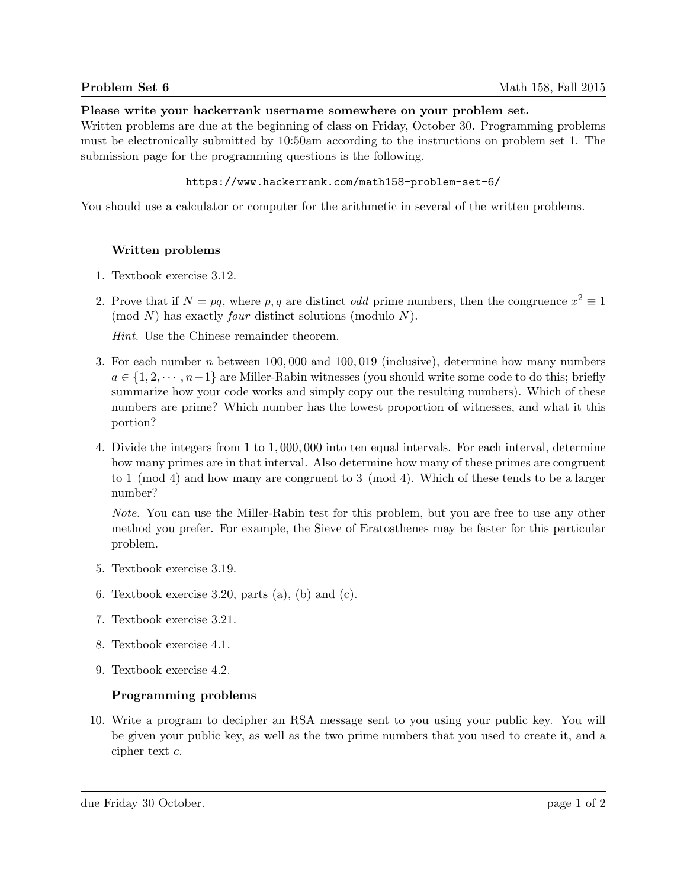### Please write your hackerrank username somewhere on your problem set.

Written problems are due at the beginning of class on Friday, October 30. Programming problems must be electronically submitted by 10:50am according to the instructions on problem set 1. The submission page for the programming questions is the following.

### https://www.hackerrank.com/math158-problem-set-6/

You should use a calculator or computer for the arithmetic in several of the written problems.

# Written problems

- 1. Textbook exercise 3.12.
- 2. Prove that if  $N = pq$ , where p, q are distinct odd prime numbers, then the congruence  $x^2 \equiv 1$  $p(\mod N)$  has exactly *four* distinct solutions (modulo N).

Hint. Use the Chinese remainder theorem.

- 3. For each number n between 100, 000 and 100, 019 (inclusive), determine how many numbers  $a \in \{1, 2, \dots, n-1\}$  are Miller-Rabin witnesses (you should write some code to do this; briefly summarize how your code works and simply copy out the resulting numbers). Which of these numbers are prime? Which number has the lowest proportion of witnesses, and what it this portion?
- 4. Divide the integers from 1 to 1, 000, 000 into ten equal intervals. For each interval, determine how many primes are in that interval. Also determine how many of these primes are congruent to 1 (mod 4) and how many are congruent to 3 (mod 4). Which of these tends to be a larger number?

Note. You can use the Miller-Rabin test for this problem, but you are free to use any other method you prefer. For example, the Sieve of Eratosthenes may be faster for this particular problem.

- 5. Textbook exercise 3.19.
- 6. Textbook exercise 3.20, parts  $(a)$ ,  $(b)$  and  $(c)$ .
- 7. Textbook exercise 3.21.
- 8. Textbook exercise 4.1.
- 9. Textbook exercise 4.2.

# Programming problems

10. Write a program to decipher an RSA message sent to you using your public key. You will be given your public key, as well as the two prime numbers that you used to create it, and a cipher text c.

due Friday 30 October. page 1 of 2